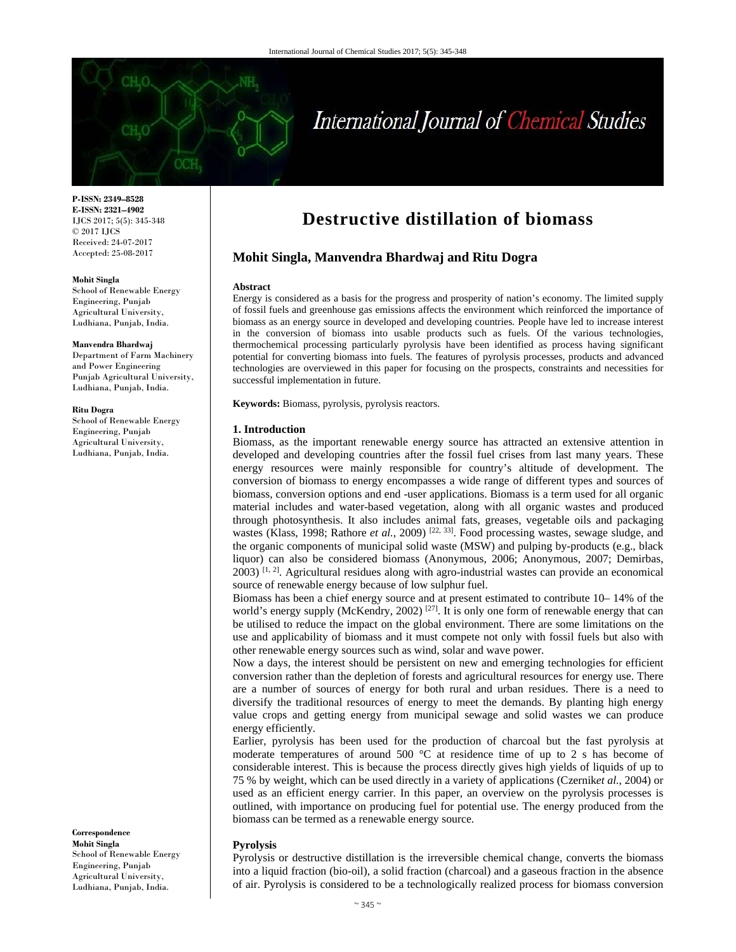

# International Journal of Chemical Studies

**P-ISSN: 2349–8528 E-ISSN: 2321–4902**  IJCS 2017; 5(5): 345-348 © 2017 IJCS Received: 24-07-2017 Accepted: 25-08-2017

#### **Mohit Singla**

School of Renewable Energy Engineering, Punjab Agricultural University, Ludhiana, Punjab, India.

#### **Manvendra Bhardwaj**

Department of Farm Machinery and Power Engineering Punjab Agricultural University, Ludhiana, Punjab, India.

#### **Ritu Dogra**

School of Renewable Energy Engineering, Punjab Agricultural University, Ludhiana, Punjab, India.

**Correspondence Mohit Singla**  School of Renewable Energy Engineering, Punjab Agricultural University, Ludhiana, Punjab, India.

# **Destructive distillation of biomass**

# **Mohit Singla, Manvendra Bhardwaj and Ritu Dogra**

#### **Abstract**

Energy is considered as a basis for the progress and prosperity of nation's economy. The limited supply of fossil fuels and greenhouse gas emissions affects the environment which reinforced the importance of biomass as an energy source in developed and developing countries. People have led to increase interest in the conversion of biomass into usable products such as fuels. Of the various technologies, thermochemical processing particularly pyrolysis have been identified as process having significant potential for converting biomass into fuels. The features of pyrolysis processes, products and advanced technologies are overviewed in this paper for focusing on the prospects, constraints and necessities for successful implementation in future.

**Keywords:** Biomass, pyrolysis, pyrolysis reactors.

# **1. Introduction**

Biomass, as the important renewable energy source has attracted an extensive attention in developed and developing countries after the fossil fuel crises from last many years. These energy resources were mainly responsible for country's altitude of development. The conversion of biomass to energy encompasses a wide range of different types and sources of biomass, conversion options and end -user applications. Biomass is a term used for all organic material includes and water-based vegetation, along with all organic wastes and produced through photosynthesis. It also includes animal fats, greases, vegetable oils and packaging wastes (Klass, 1998; Rathore *et al.*, 2009)<sup>[22, 33]</sup>. Food processing wastes, sewage sludge, and the organic components of municipal solid waste (MSW) and pulping by-products (e.g., black liquor) can also be considered biomass (Anonymous, 2006; Anonymous, 2007; Demirbas, 2003) [1, 2]. Agricultural residues along with agro-industrial wastes can provide an economical source of renewable energy because of low sulphur fuel.

Biomass has been a chief energy source and at present estimated to contribute 10– 14% of the world's energy supply (McKendry, 2002)  $[27]$ . It is only one form of renewable energy that can be utilised to reduce the impact on the global environment. There are some limitations on the use and applicability of biomass and it must compete not only with fossil fuels but also with other renewable energy sources such as wind, solar and wave power.

Now a days, the interest should be persistent on new and emerging technologies for efficient conversion rather than the depletion of forests and agricultural resources for energy use. There are a number of sources of energy for both rural and urban residues. There is a need to diversify the traditional resources of energy to meet the demands. By planting high energy value crops and getting energy from municipal sewage and solid wastes we can produce energy efficiently.

Earlier, pyrolysis has been used for the production of charcoal but the fast pyrolysis at moderate temperatures of around 500 °C at residence time of up to 2 s has become of considerable interest. This is because the process directly gives high yields of liquids of up to 75 % by weight, which can be used directly in a variety of applications (Czernik*et al.*, 2004) or used as an efficient energy carrier. In this paper, an overview on the pyrolysis processes is outlined, with importance on producing fuel for potential use. The energy produced from the biomass can be termed as a renewable energy source.

#### **Pyrolysis**

Pyrolysis or destructive distillation is the irreversible chemical change, converts the biomass into a liquid fraction (bio-oil), a solid fraction (charcoal) and a gaseous fraction in the absence of air. Pyrolysis is considered to be a technologically realized process for biomass conversion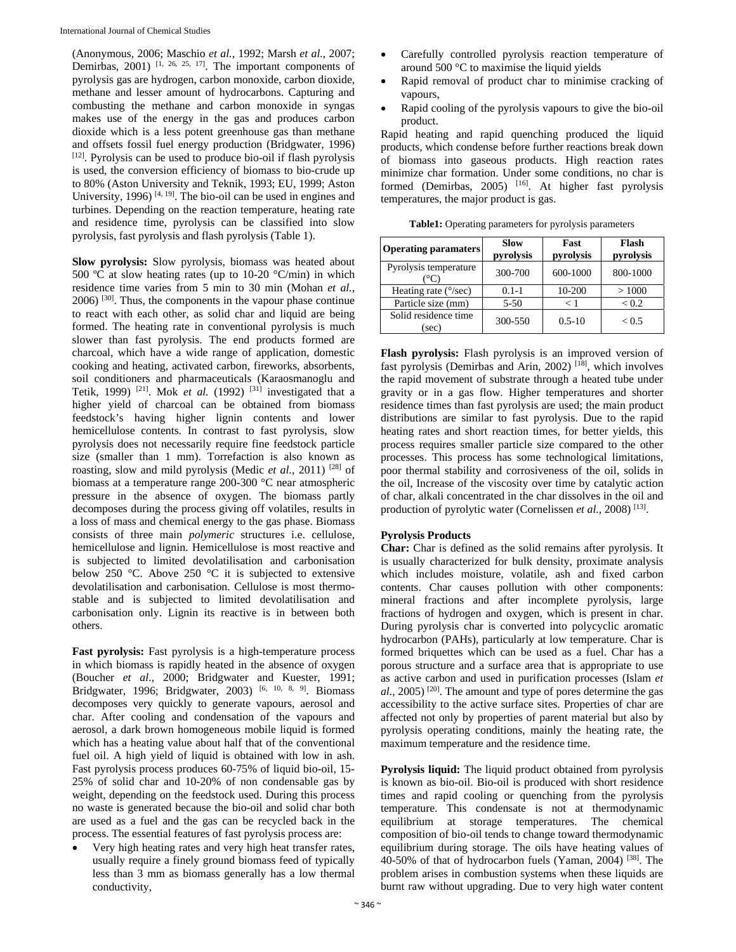(Anonymous, 2006; Maschio *et al.*, 1992; Marsh *et al.*, 2007; Demirbas,  $2001$ ) <sup>[1, 26, 25, 17]</sup>. The important components of pyrolysis gas are hydrogen, carbon monoxide, carbon dioxide, methane and lesser amount of hydrocarbons. Capturing and combusting the methane and carbon monoxide in syngas makes use of the energy in the gas and produces carbon dioxide which is a less potent greenhouse gas than methane and offsets fossil fuel energy production (Bridgwater, 1996) [12]. Pyrolysis can be used to produce bio-oil if flash pyrolysis is used, the conversion efficiency of biomass to bio-crude up to 80% (Aston University and Teknik, 1993; EU, 1999; Aston University, 1996)  $[4, 19]$ . The bio-oil can be used in engines and turbines. Depending on the reaction temperature, heating rate and residence time, pyrolysis can be classified into slow pyrolysis, fast pyrolysis and flash pyrolysis (Table 1).

**Slow pyrolysis:** Slow pyrolysis, biomass was heated about 500 °C at slow heating rates (up to 10-20 °C/min) in which residence time varies from 5 min to 30 min (Mohan *et al.*, 2006) [30]. Thus, the components in the vapour phase continue to react with each other, as solid char and liquid are being formed. The heating rate in conventional pyrolysis is much slower than fast pyrolysis. The end products formed are charcoal, which have a wide range of application, domestic cooking and heating, activated carbon, fireworks, absorbents, soil conditioners and pharmaceuticals (Karaosmanoglu and Tetik, 1999) <sup>[21]</sup>. Mok *et al.* (1992) <sup>[31]</sup> investigated that a higher yield of charcoal can be obtained from biomass feedstock's having higher lignin contents and lower hemicellulose contents. In contrast to fast pyrolysis, slow pyrolysis does not necessarily require fine feedstock particle size (smaller than 1 mm). Torrefaction is also known as roasting, slow and mild pyrolysis (Medic *et al.*, 2011) [28] of biomass at a temperature range 200-300 °C near atmospheric pressure in the absence of oxygen. The biomass partly decomposes during the process giving off volatiles, results in a loss of mass and chemical energy to the gas phase. Biomass consists of three main *polymeric* structures i.e. cellulose, hemicellulose and lignin. Hemicellulose is most reactive and is subjected to limited devolatilisation and carbonisation below 250 °C. Above 250 °C it is subjected to extensive devolatilisation and carbonisation. Cellulose is most thermostable and is subjected to limited devolatilisation and carbonisation only. Lignin its reactive is in between both others.

**Fast pyrolysis:** Fast pyrolysis is a high-temperature process in which biomass is rapidly heated in the absence of oxygen (Boucher *et al.,* 2000; Bridgwater and Kuester, 1991; Bridgwater, 1996; Bridgwater, 2003)<sup>[6, 10, 8, 9]</sup>. Biomass decomposes very quickly to generate vapours, aerosol and char. After cooling and condensation of the vapours and aerosol, a dark brown homogeneous mobile liquid is formed which has a heating value about half that of the conventional fuel oil. A high yield of liquid is obtained with low in ash. Fast pyrolysis process produces 60-75% of liquid bio-oil, 15- 25% of solid char and 10-20% of non condensable gas by weight, depending on the feedstock used. During this process no waste is generated because the bio-oil and solid char both are used as a fuel and the gas can be recycled back in the process. The essential features of fast pyrolysis process are:

 Very high heating rates and very high heat transfer rates, usually require a finely ground biomass feed of typically less than 3 mm as biomass generally has a low thermal conductivity,

- Carefully controlled pyrolysis reaction temperature of around 500 °C to maximise the liquid yields
- Rapid removal of product char to minimise cracking of vapours,
- Rapid cooling of the pyrolysis vapours to give the bio-oil product.

Rapid heating and rapid quenching produced the liquid products, which condense before further reactions break down of biomass into gaseous products. High reaction rates minimize char formation. Under some conditions, no char is formed (Demirbas, 2005) [16]. At higher fast pyrolysis temperatures, the major product is gas.

| <b>Operating paramaters</b>   | <b>Slow</b><br>pyrolysis | Fast<br>pyrolysis | Flash<br>pyrolysis |
|-------------------------------|--------------------------|-------------------|--------------------|
| Pyrolysis temperature         | 300-700                  | 600-1000          | 800-1000           |
| Heating rate $(^{\circ}/sec)$ | $0.1 - 1$                | 10-200            | >1000              |
| Particle size (mm)            | $5 - 50$                 | < 1               | ${}_{< 0.2}$       |
| Solid residence time<br>(sec) | 300-550                  | $0.5 - 10$        | ${}_{< 0.5}$       |

**Table1:** Operating parameters for pyrolysis parameters

**Flash pyrolysis:** Flash pyrolysis is an improved version of fast pyrolysis (Demirbas and Arin, 2002) [18], which involves the rapid movement of substrate through a heated tube under gravity or in a gas flow. Higher temperatures and shorter residence times than fast pyrolysis are used; the main product distributions are similar to fast pyrolysis. Due to the rapid heating rates and short reaction times, for better yields, this process requires smaller particle size compared to the other processes. This process has some technological limitations, poor thermal stability and corrosiveness of the oil, solids in the oil, Increase of the viscosity over time by catalytic action of char, alkali concentrated in the char dissolves in the oil and production of pyrolytic water (Cornelissen *et al.*, 2008) [13].

# **Pyrolysis Products**

**Char:** Char is defined as the solid remains after pyrolysis. It is usually characterized for bulk density, proximate analysis which includes moisture, volatile, ash and fixed carbon contents. Char causes pollution with other components: mineral fractions and after incomplete pyrolysis, large fractions of hydrogen and oxygen, which is present in char. During pyrolysis char is converted into polycyclic aromatic hydrocarbon (PAHs), particularly at low temperature. Char is formed briquettes which can be used as a fuel. Char has a porous structure and a surface area that is appropriate to use as active carbon and used in purification processes (Islam *et*   $al.$ , 2005)<sup>[20]</sup>. The amount and type of pores determine the gas accessibility to the active surface sites. Properties of char are affected not only by properties of parent material but also by pyrolysis operating conditions, mainly the heating rate, the maximum temperature and the residence time.

**Pyrolysis liquid:** The liquid product obtained from pyrolysis is known as bio-oil. Bio-oil is produced with short residence times and rapid cooling or quenching from the pyrolysis temperature. This condensate is not at thermodynamic equilibrium at storage temperatures. The chemical composition of bio-oil tends to change toward thermodynamic equilibrium during storage. The oils have heating values of 40-50% of that of hydrocarbon fuels (Yaman, 2004) [38]. The problem arises in combustion systems when these liquids are burnt raw without upgrading. Due to very high water content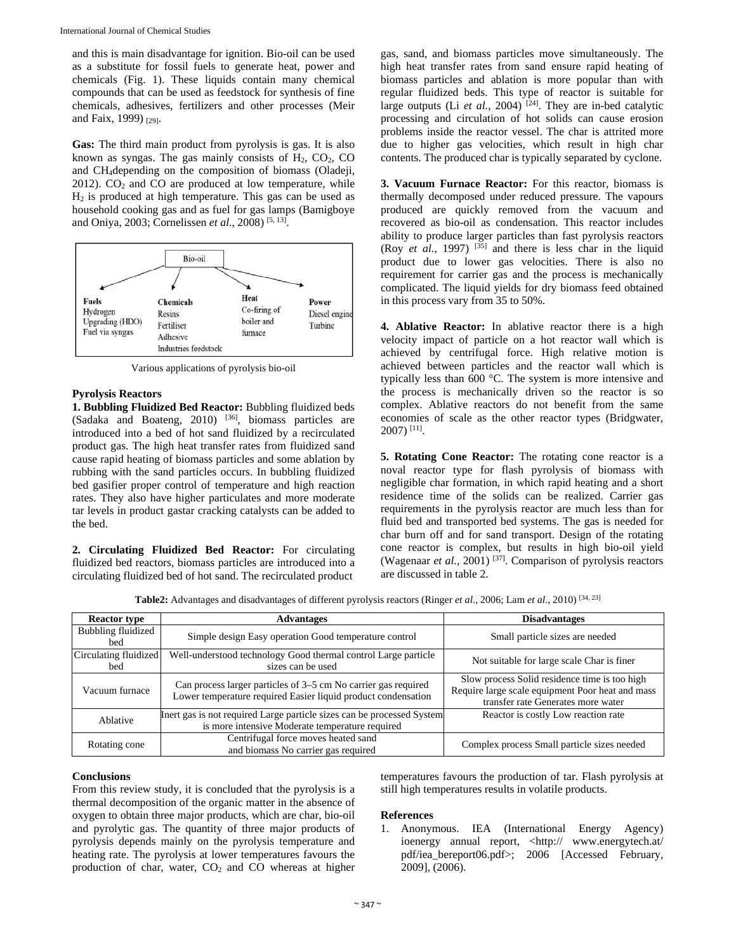and this is main disadvantage for ignition. Bio-oil can be used as a substitute for fossil fuels to generate heat, power and chemicals (Fig. 1). These liquids contain many chemical compounds that can be used as feedstock for synthesis of fine chemicals, adhesives, fertilizers and other processes (Meir and Faix, 1999) [29].

**Gas:** The third main product from pyrolysis is gas. It is also known as syngas. The gas mainly consists of  $H_2$ ,  $CO_2$ ,  $CO$ and CH4depending on the composition of biomass (Oladeji,  $2012$ ).  $CO<sub>2</sub>$  and  $CO$  are produced at low temperature, while  $H<sub>2</sub>$  is produced at high temperature. This gas can be used as household cooking gas and as fuel for gas lamps (Bamigboye and Oniya, 2003; Cornelissen *et al.*, 2008) [5, 13].



Various applications of pyrolysis bio-oil

# **Pyrolysis Reactors**

**1. Bubbling Fluidized Bed Reactor:** Bubbling fluidized beds (Sadaka and Boateng, 2010) [36], biomass particles are introduced into a bed of hot sand fluidized by a recirculated product gas. The high heat transfer rates from fluidized sand cause rapid heating of biomass particles and some ablation by rubbing with the sand particles occurs. In bubbling fluidized bed gasifier proper control of temperature and high reaction rates. They also have higher particulates and more moderate tar levels in product gastar cracking catalysts can be added to the bed.

**2. Circulating Fluidized Bed Reactor:** For circulating fluidized bed reactors, biomass particles are introduced into a circulating fluidized bed of hot sand. The recirculated product

gas, sand, and biomass particles move simultaneously. The high heat transfer rates from sand ensure rapid heating of biomass particles and ablation is more popular than with regular fluidized beds. This type of reactor is suitable for large outputs (Li *et al.*, 2004)<sup>[24]</sup>. They are in-bed catalytic processing and circulation of hot solids can cause erosion problems inside the reactor vessel. The char is attrited more due to higher gas velocities, which result in high char contents. The produced char is typically separated by cyclone.

**3. Vacuum Furnace Reactor:** For this reactor, biomass is thermally decomposed under reduced pressure. The vapours produced are quickly removed from the vacuum and recovered as bio-oil as condensation. This reactor includes ability to produce larger particles than fast pyrolysis reactors (Roy *et al.*, 1997)  $^{[35]}$  and there is less char in the liquid product due to lower gas velocities. There is also no requirement for carrier gas and the process is mechanically complicated. The liquid yields for dry biomass feed obtained in this process vary from 35 to 50%.

**4. Ablative Reactor:** In ablative reactor there is a high velocity impact of particle on a hot reactor wall which is achieved by centrifugal force. High relative motion is achieved between particles and the reactor wall which is typically less than 600 °C. The system is more intensive and the process is mechanically driven so the reactor is so complex. Ablative reactors do not benefit from the same economies of scale as the other reactor types (Bridgwater,  $2007$ ) <sup>[11]</sup>.

**5. Rotating Cone Reactor:** The rotating cone reactor is a noval reactor type for flash pyrolysis of biomass with negligible char formation, in which rapid heating and a short residence time of the solids can be realized. Carrier gas requirements in the pyrolysis reactor are much less than for fluid bed and transported bed systems. The gas is needed for char burn off and for sand transport. Design of the rotating cone reactor is complex, but results in high bio-oil yield (Wagenaar *et al.*, 2001) [37]. Comparison of pyrolysis reactors are discussed in table 2.

**Table2:** Advantages and disadvantages of different pyrolysis reactors (Ringer *et al.*, 2006; Lam *et al.*, 2010) [34, 23]

| <b>Reactor type</b>          | <b>Advantages</b>                                                                                                               | <b>Disadvantages</b>                                                                                                                    |  |
|------------------------------|---------------------------------------------------------------------------------------------------------------------------------|-----------------------------------------------------------------------------------------------------------------------------------------|--|
| Bubbling fluidized<br>bed    | Simple design Easy operation Good temperature control                                                                           | Small particle sizes are needed                                                                                                         |  |
| Circulating fluidized<br>bed | Well-understood technology Good thermal control Large particle<br>sizes can be used                                             | Not suitable for large scale Char is finer                                                                                              |  |
| Vacuum furnace               | Can process larger particles of 3–5 cm No carrier gas required<br>Lower temperature required Easier liquid product condensation | Slow process Solid residence time is too high<br>Require large scale equipment Poor heat and mass<br>transfer rate Generates more water |  |
| Ablative                     | Inert gas is not required Large particle sizes can be processed System<br>is more intensive Moderate temperature required       | Reactor is costly Low reaction rate                                                                                                     |  |
| Rotating cone                | Centrifugal force moves heated sand<br>and biomass No carrier gas required                                                      | Complex process Small particle sizes needed                                                                                             |  |

# **Conclusions**

From this review study, it is concluded that the pyrolysis is a thermal decomposition of the organic matter in the absence of oxygen to obtain three major products, which are char, bio-oil and pyrolytic gas. The quantity of three major products of pyrolysis depends mainly on the pyrolysis temperature and heating rate. The pyrolysis at lower temperatures favours the production of char, water,  $CO<sub>2</sub>$  and  $CO$  whereas at higher

temperatures favours the production of tar. Flash pyrolysis at still high temperatures results in volatile products.

### **References**

1. Anonymous. IEA (International Energy Agency) ioenergy annual report, <http:// www.energytech.at/ pdf/iea\_bereport06.pdf>; 2006 [Accessed February, 2009], (2006).